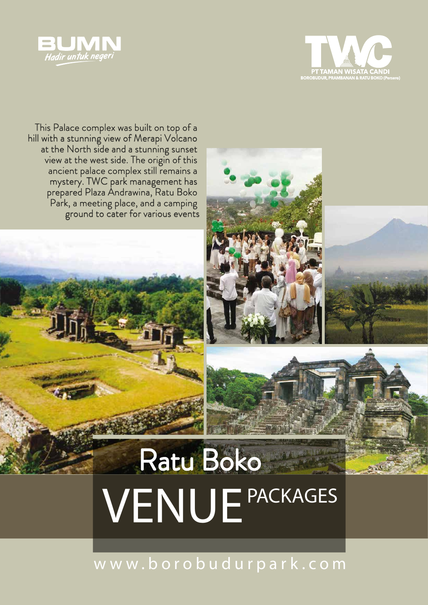



This Palace complex was built on top of a hill with a stunning view of Merapi Volcano at the North side and a stunning sunset view at the west side. The origin of this ancient palace complex still remains a mystery. TWC park management has prepared Plaza Andrawina, Ratu Boko Park, a meeting place, and a camping ground to cater for various events



w w w . b o r o b u d u r p a r k . c o m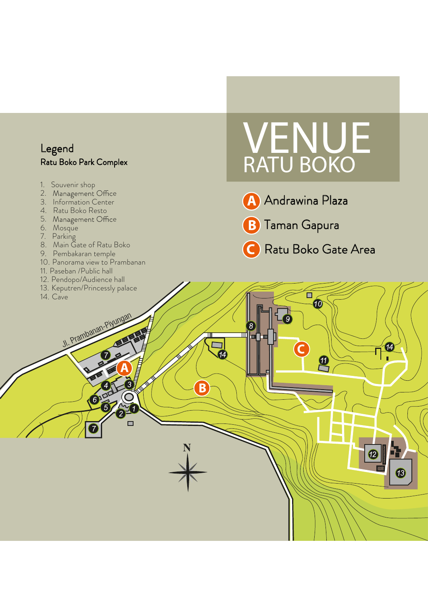#### L ege n d Ratu Boko Park Complex l

- 1 . Souvenir s h o p
- 2. Management Office
- 3 . Informa tio n Cent e r
- 4. Ratu Boko Resto
- 5. Management Office
- 6 . Mosq u e
- 7. Parking i
- 8 . Main Ga te of Ratu Bo k o
- 9 . Pembakaran tem p e l
- 1 0 . Panorama vi ew to Pramban a n
- 1 1 . Paseban /Public hal l
- 1 2 . Pendopo /Audience ha l l
- 1 3 . Keputre n/Princessly pala c e

JI. Prambanan-Piyungan

 $6$ 

 $\Box$ 

1 4 . Ca v e

# VENUE RATU BOKO

- Andrawina Plaza i l
- T a m a n G a p u r a

8

Ratu Boko Gate Area

ô **AO** 

 $\mathbf 0$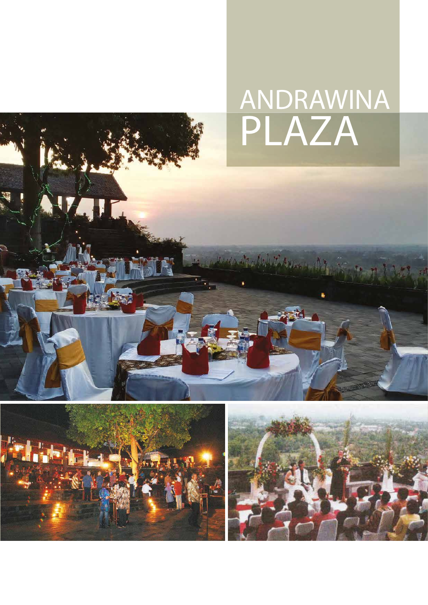### ANDRAWINA PLAZA

La William



41

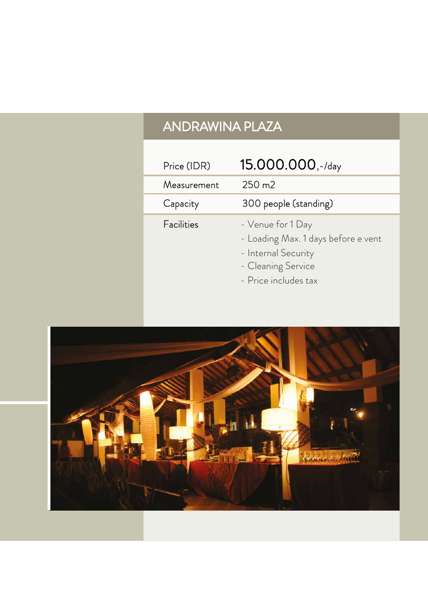### ANDRAWINA PLAZA

| Price (IDR) | 15.000.000,-/day                                                                                                              |
|-------------|-------------------------------------------------------------------------------------------------------------------------------|
| Measurement | $250 \text{ m2}$                                                                                                              |
| Capacity    | 300 people (standing)                                                                                                         |
| Facilities  | - Venue for 1 Day<br>- Loading Max. 1 days before e vent<br>- Internal Security<br>- Cleaning Service<br>- Price includes tax |

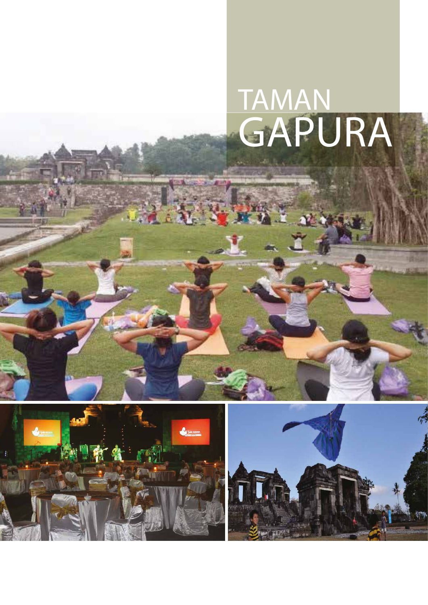### TAMAN GAPURA



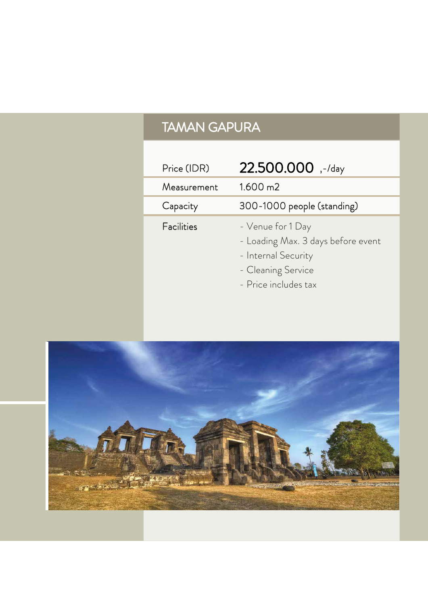### TAMAN GAPURA

| Price (IDR) | 22.500.000,-/day                                                                                                             |
|-------------|------------------------------------------------------------------------------------------------------------------------------|
| Measurement | $1.600 \text{ m2}$                                                                                                           |
| Capacity    | 300-1000 people (standing)                                                                                                   |
| Facilities  | - Venue for 1 Day<br>- Loading Max. 3 days before event<br>- Internal Security<br>- Cleaning Service<br>- Price includes tax |

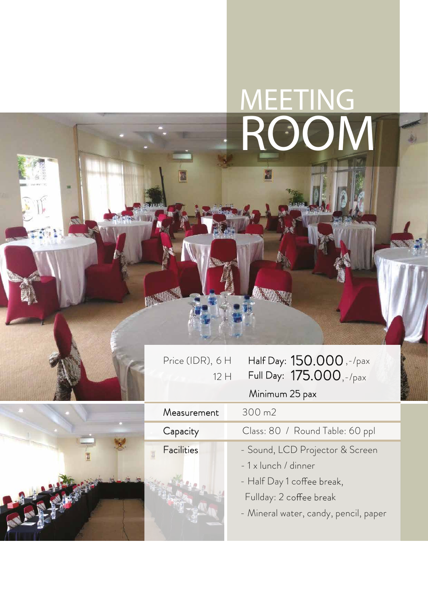### MEETING ROOM

| Price (IDR), 6 H |       |  |
|------------------|-------|--|
|                  | $12+$ |  |

**RASSEE** 

#### Price (IDR),  $6H$  Half Day:  $150.000$  , -/pax 12 H  $\,$  Full Day:  $\,$   $175.000$  , - /  $_{\rm{pax}}$



| Minimum 25 pax |  |
|----------------|--|

| Measurement       | 300 m2                                |
|-------------------|---------------------------------------|
| Capacity          | Class: 80 / Round Table: 60 ppl       |
| <b>Facilities</b> | - Sound, LCD Projector & Screen       |
|                   | - 1 x lunch / dinner                  |
|                   | - Half Day 1 coffee break,            |
|                   | Fullday: 2 coffee break               |
|                   | - Mineral water, candy, pencil, paper |
|                   |                                       |